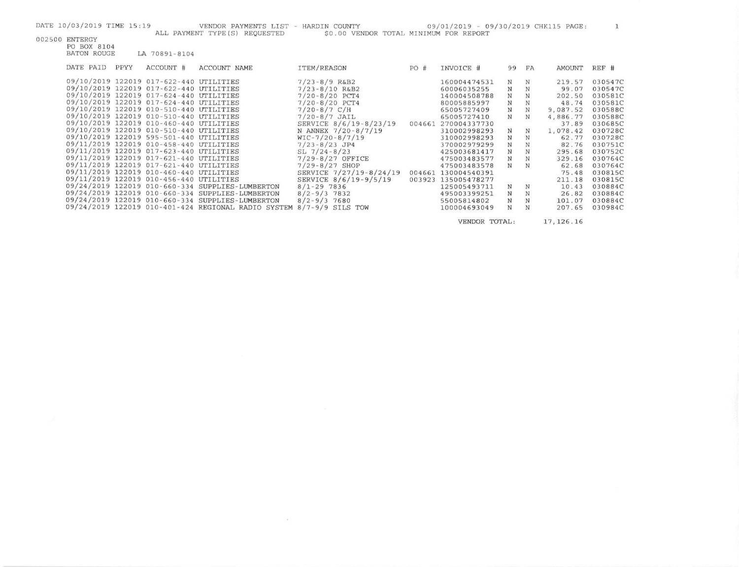$\mathcal{M}_{\rm{c}}$ 

| 002500 | ENTERGY |
|--------|---------|
|        |         |

PO BOX 8104 BATON ROUGE LA 70891-8104

| DATE PAID | PPYY | ACCOUNT #                               | ACCOUNT NAME                                        | ITEM/REASON             | PO#    | INVOICE #    | 99 | FA | AMOUNT   | REF #   |
|-----------|------|-----------------------------------------|-----------------------------------------------------|-------------------------|--------|--------------|----|----|----------|---------|
|           |      | 09/10/2019 122019 017-622-440 UTILITIES |                                                     | $7/23 - 8/9$ R&B2       |        | 160004474531 | N  | N  | 219.57   | 030547C |
|           |      | 09/10/2019 122019 017-622-440 UTILITIES |                                                     | $7/23 - 8/10$ R&B2      |        | 60006035255  | N  |    | 99.07    | 030547C |
|           |      | 09/10/2019 122019 017-624-440 UTILITIES |                                                     | $7/20 - 8/20$ PCT4      |        | 140004508788 | N  | N  | 202.50   | 030581C |
|           |      | 09/10/2019 122019 017-624-440 UTILITIES |                                                     | $7/20 - 8/20$ PCT4      |        | 80005885997  | N  | N  | 48.74    | 030581C |
|           |      | 09/10/2019 122019 010-510-440 UTILITIES |                                                     | $7/20 - 8/7$ C/H        |        | 65005727409  | N  | N  | 9,087.52 | 030588C |
|           |      | 09/10/2019 122019 010-510-440 UTILITIES |                                                     | $7/20 - 8/7$ JAIL       |        | 65005727410  | N  | N  | 4,886.77 | 030588C |
|           |      | 09/10/2019 122019 010-460-440 UTILITIES |                                                     | SERVICE 8/6/19-8/23/19  | 004661 | 270004337730 |    |    | 37.89    | 030685C |
|           |      | 09/10/2019 122019 010-510-440 UTILITIES |                                                     | N ANNEX 7/20-8/7/19     |        | 310002998293 | N  | N  | 1,078.42 | 030728C |
|           |      | 09/10/2019 122019 595-501-440 UTILITIES |                                                     | $WIC-7/20-8/7/19$       |        | 310002998293 | N  | N  | 62.77    | 030728C |
|           |      | 09/11/2019 122019 010-458-440 UTILITIES |                                                     | $7/23 - 8/23$ JP4       |        | 370002979299 | N  |    | 82.76    | 030751C |
|           |      | 09/11/2019 122019 017-623-440 UTILITIES |                                                     | $SL$ 7/24-8/23          |        | 425003681417 | N  | N  | 295.68   | 030752C |
|           |      | 09/11/2019 122019 017-621-440 UTILITIES |                                                     | $7/29 - 8/27$ OFFICE    |        | 475003483577 | N  | N  | 329.16   | 030764C |
|           |      | 09/11/2019 122019 017-621-440 UTILITIES |                                                     | $7/29 - 8/27$ SHOP      |        | 475003483578 | N  | N  | 62.68    | 030764C |
|           |      | 09/11/2019 122019 010-460-440 UTILITIES |                                                     | SERVICE 7/27/19-8/24/19 | 004661 | 130004540391 |    |    | 75.48    | 030815C |
|           |      | 09/11/2019 122019 010-456-440 UTILITIES |                                                     | SERVICE 8/6/19-9/5/19   | 003923 | 135005478277 |    |    | 211.18   | 030815C |
|           |      |                                         | 09/24/2019 122019 010-660-334 SUPPLIES-LUMBERTON    | $8/1 - 29$ 7836         |        | 125005493711 | N  | N  | 10.43    | 030884C |
|           |      |                                         | 09/24/2019 122019 010-660-334 SUPPLIES-LUMBERTON    | $8/2 - 9/3$ 7832        |        | 495003399251 | N  | N  | 26.82    | 030884C |
|           |      |                                         | 09/24/2019 122019 010-660-334 SUPPLIES-LUMBERTON    | $8/2 - 9/3$ 7680        |        | 55005814802  | N  | N  | 101.07   | 030884C |
|           |      |                                         | 09/24/2019 122019 010-401-424 REGIONAL RADIO SYSTEM | $8/7 - 9/9$ SILS TOW    |        | 100004693049 | N  | N  | 207.65   | 030984C |
|           |      |                                         |                                                     |                         |        |              |    |    |          |         |

VENDOR TOTAL: 17, 126.16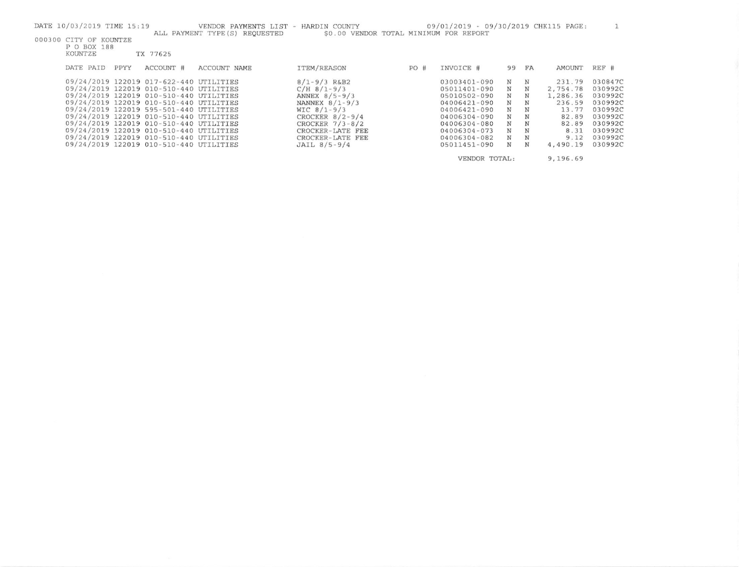| DATE 10/03/2019 TIME 15:19 |      |                                         | VENDOR PAYMENTS LIST - HARDIN COUNTY |                                        |     | 09/01/2019 - 09/30/2019 CHK115 PAGE: |    |    |          |         |
|----------------------------|------|-----------------------------------------|--------------------------------------|----------------------------------------|-----|--------------------------------------|----|----|----------|---------|
|                            |      |                                         | ALL PAYMENT TYPE(S) REQUESTED        | \$0.00 VENDOR TOTAL MINIMUM FOR REPORT |     |                                      |    |    |          |         |
| 000300 CITY OF KOUNTZE     |      |                                         |                                      |                                        |     |                                      |    |    |          |         |
| P O BOX 188                |      |                                         |                                      |                                        |     |                                      |    |    |          |         |
| KOUNTZE                    |      | TX 77625                                |                                      |                                        |     |                                      |    |    |          |         |
| DATE PAID                  | PPYY | ACCOUNT #                               | ACCOUNT NAME                         | ITEM/REASON                            | PO# | INVOICE #                            | 99 | FA | AMOUNT   | REF #   |
|                            |      |                                         |                                      |                                        |     |                                      |    |    |          |         |
|                            |      | 09/24/2019 122019 017-622-440 UTILITIES |                                      | $8/1 - 9/3$ R&B2                       |     | 03003401-090                         | N  | N  | 231.79   | 030847C |
|                            |      | 09/24/2019 122019 010-510-440 UTILITIES |                                      | $C/H$ 8/1-9/3                          |     | 05011401-090                         | N  | N  | 2,754.78 | 030992C |
|                            |      | 09/24/2019 122019 010-510-440 UTILITIES |                                      | ANNEX $8/5 - 9/3$                      |     | 05010502-090                         | N  | N  | 1,286.36 | 030992C |
|                            |      | 09/24/2019 122019 010-510-440 UTILITIES |                                      | NANNEX $8/1 - 9/3$                     |     | 04006421-090                         | N  | N  | 236.59   | 030992C |
|                            |      | 09/24/2019 122019 595-501-440 UTILITIES |                                      | WIC $8/1 - 9/3$                        |     | 04006421-090                         | N  | N  | 13.77    | 030992C |
|                            |      | 09/24/2019 122019 010-510-440 UTILITIES |                                      | CROCKER $8/2 - 9/4$                    |     | 04006304-090                         | N  | N  | 82.89    | 030992C |
|                            |      | 09/24/2019 122019 010-510-440 UTILITIES |                                      | CROCKER $7/3 - 8/2$                    |     | 04006304-080                         | N  | N  | 82.89    | 030992C |
|                            |      | 09/24/2019 122019 010-510-440 UTILITIES |                                      | CROCKER-LATE FEE                       |     | 04006304-073                         | N  | N  | 8.31     | 030992C |
|                            |      | 09/24/2019 122019 010-510-440 UTILITIES |                                      | CROCKER-LATE FEE                       |     | 04006304-082                         | N  | N  | 9.12     | 030992C |
|                            |      | 09/24/2019 122019 010-510-440 UTILITIES |                                      | JAIL $8/5 - 9/4$                       |     | 05011451-090                         | N  | N  | 4,490.19 | 030992C |
|                            |      |                                         |                                      |                                        |     | VENDOR TOTAL:                        |    |    | 9,196.69 |         |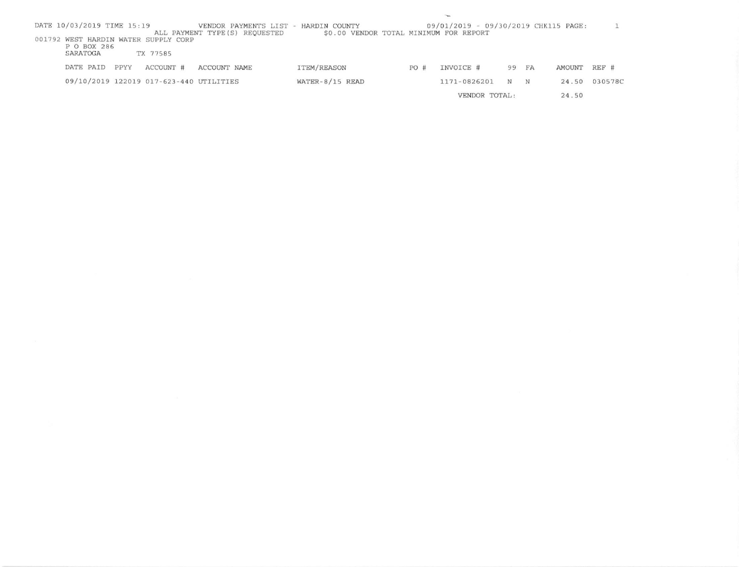|                                                              |                                                                                | $\overline{\phantom{a}}$ |                                      |    |    |        |         |
|--------------------------------------------------------------|--------------------------------------------------------------------------------|--------------------------|--------------------------------------|----|----|--------|---------|
| DATE 10/03/2019 TIME 15:19<br>ALL PAYMENT TYPE (S) REQUESTED | VENDOR PAYMENTS LIST - HARDIN COUNTY<br>\$0.00 VENDOR TOTAL MINIMUM FOR REPORT |                          | 09/01/2019 - 09/30/2019 CHK115 PAGE: |    |    |        |         |
| 001792 WEST HARDIN WATER SUPPLY CORP                         |                                                                                |                          |                                      |    |    |        |         |
| P O BOX 286                                                  |                                                                                |                          |                                      |    |    |        |         |
| SARATOGA<br>TX 77585                                         |                                                                                |                          |                                      |    |    |        |         |
| DATE PAID<br>ACCOUNT #<br>PPYY<br>ACCOUNT NAME               | ITEM/REASON                                                                    | PO#                      | INVOICE #                            | 99 | FA | AMOUNT | REF #   |
| 09/10/2019 122019 017-623-440 UTILITIES                      | WATER-8/15 READ                                                                |                          | 1171-0826201                         | N  | N  | 24.50  | 030578C |
|                                                              |                                                                                |                          | VENDOR TOTAL:                        |    |    | 24.50  |         |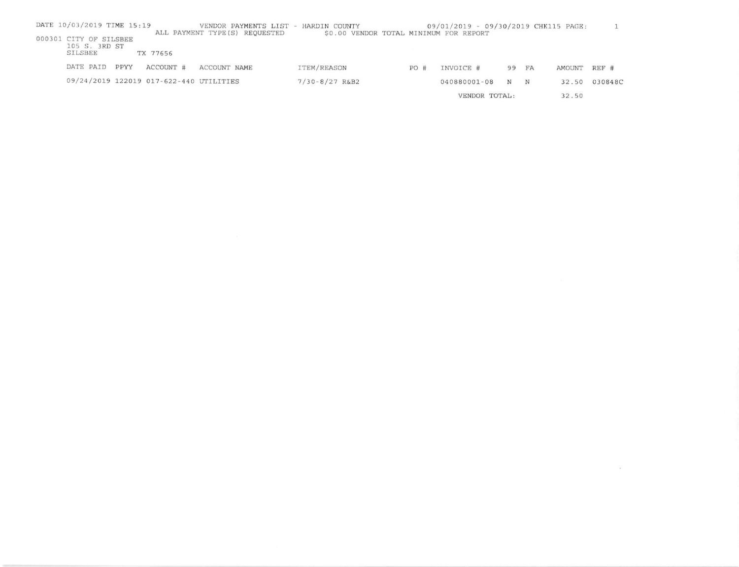| DATE 10/03/2019 TIME 15:19              |      |                                         | VENDOR PAYMENTS LIST -         | HARDIN COUNTY                          |       | 09/01/2019 - 09/30/2019 CHK115 PAGE: |       |   |        |         |
|-----------------------------------------|------|-----------------------------------------|--------------------------------|----------------------------------------|-------|--------------------------------------|-------|---|--------|---------|
| 000301 CITY OF SILSBEE<br>105 S. 3RD ST |      |                                         | ALL PAYMENT TYPE (S) REQUESTED | \$0.00 VENDOR TOTAL MINIMUM FOR REPORT |       |                                      |       |   |        |         |
| SILSBEE                                 |      | TX 77656                                |                                |                                        |       |                                      |       |   |        |         |
| DATE PAID                               | PPYY | ACCOUNT #                               | ACCOUNT NAME                   | ITEM/REASON                            | PO#   | INVOICE #                            | 99 FA |   | AMOUNT | REF #   |
|                                         |      | 09/24/2019 122019 017-622-440 UTILITIES |                                | $7/30 - 8/27$ R&B2                     |       | 040880001-08                         | N     | N | 32.50  | 030848C |
| VENDOR TOTAL:                           |      |                                         |                                |                                        | 32.50 |                                      |       |   |        |         |

 $\langle \cdot | \cdot \rangle$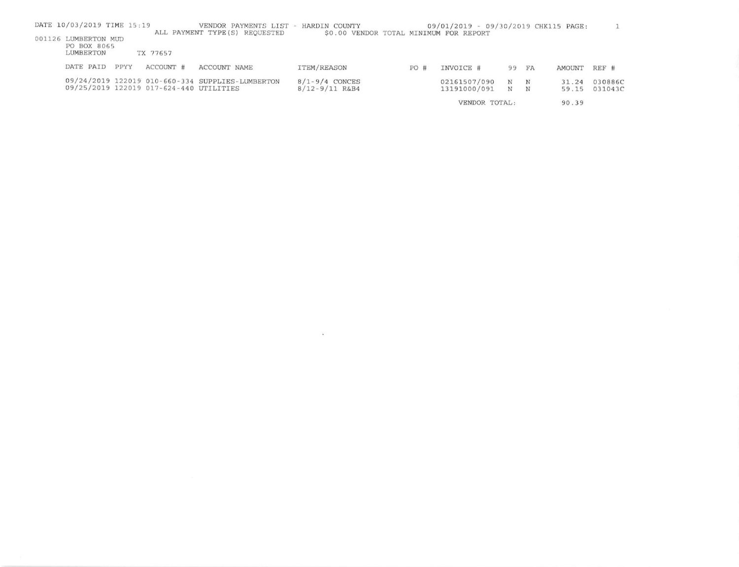| DATE 10/03/2019 TIME 15:19                       |      |                                         | VENDOR PAYMENTS LIST - HARDIN COUNTY             |                                          |     | 09/01/2019 - 09/30/2019 CHK115 PAGE: |        |                 |                |                    |
|--------------------------------------------------|------|-----------------------------------------|--------------------------------------------------|------------------------------------------|-----|--------------------------------------|--------|-----------------|----------------|--------------------|
| 001126 LUMBERTON MUD<br>PO BOX 8065<br>LUMBERTON |      | TX 77657                                | ALL PAYMENT TYPE (S) REQUESTED                   | \$0.00 VENDOR TOTAL MINIMUM FOR REPORT   |     |                                      |        |                 |                |                    |
| DATE PAID                                        | PPYY | ACCOUNT #                               | ACCOUNT NAME                                     | ITEM/REASON                              | PO# | INVOICE #                            | 99 FA  |                 | AMOUNT         | REF #              |
|                                                  |      | 09/25/2019 122019 017-624-440 UTILITIES | 09/24/2019 122019 010-660-334 SUPPLIES-LUMBERTON | $8/1 - 9/4$ CONCES<br>$8/12 - 9/11$ R&B4 |     | 02161507/090<br>13191000/091         | N<br>N | $_{\rm N}$<br>N | 31.24<br>59.15 | 030886C<br>031043C |
|                                                  |      |                                         |                                                  |                                          |     | VENDOR TOTAL:                        |        |                 | 90.39          |                    |

 $\mathcal{L}^{\text{max}}$  .